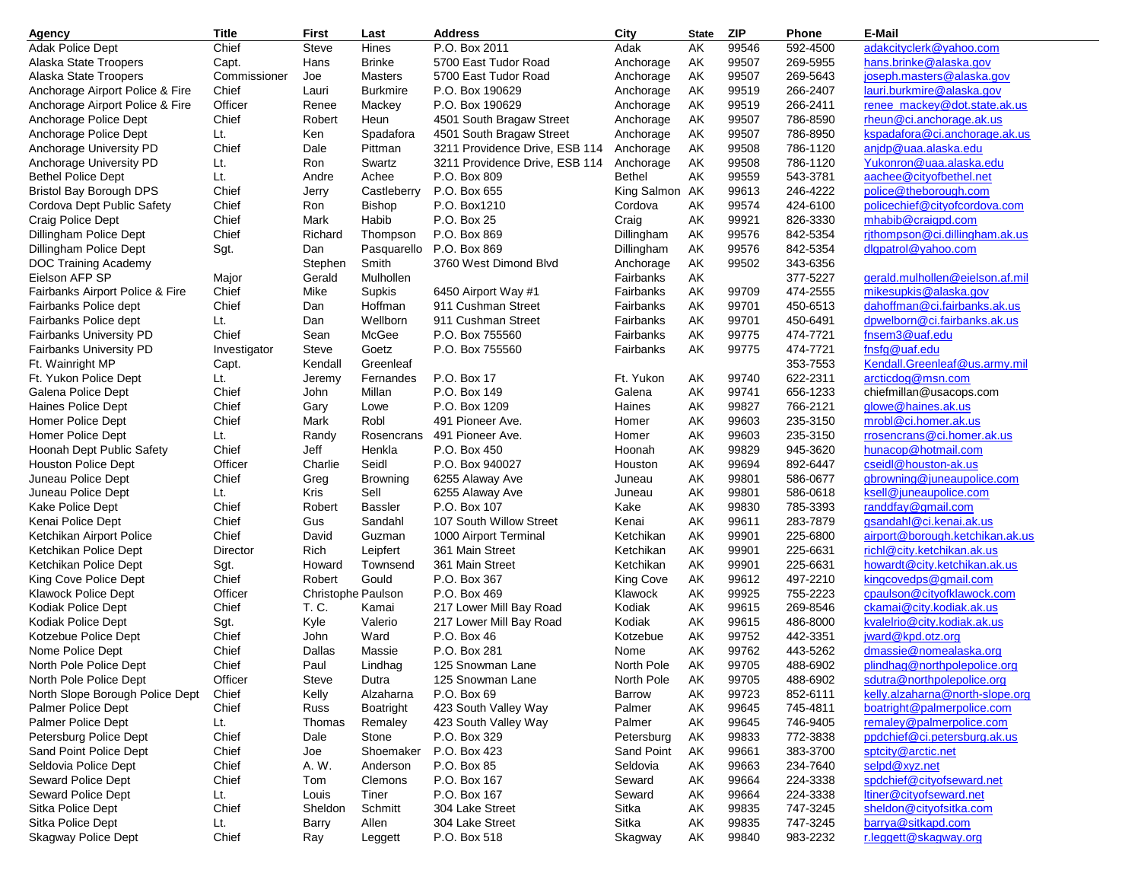| <b>Agency</b>                                           | Title          | First              | Last            | <b>Address</b>                         | City           | <b>State</b> | <b>ZIP</b> | Phone                | E-Mail                                                     |
|---------------------------------------------------------|----------------|--------------------|-----------------|----------------------------------------|----------------|--------------|------------|----------------------|------------------------------------------------------------|
| <b>Adak Police Dept</b>                                 | Chief          | Steve              | Hines           | P.O. Box 2011                          | Adak           | AK           | 99546      | 592-4500             | adakcityclerk@yahoo.com                                    |
| Alaska State Troopers                                   | Capt.          | Hans               | <b>Brinke</b>   | 5700 East Tudor Road                   | Anchorage      | AK           | 99507      | 269-5955             | hans.brinke@alaska.gov                                     |
| Alaska State Troopers                                   | Commissioner   | Joe                | <b>Masters</b>  | 5700 East Tudor Road                   | Anchorage      | AK           | 99507      | 269-5643             | joseph.masters@alaska.gov                                  |
| Anchorage Airport Police & Fire                         | Chief          | Lauri              | <b>Burkmire</b> | P.O. Box 190629                        | Anchorage      | AK           | 99519      | 266-2407             | lauri.burkmire@alaska.gov                                  |
| Anchorage Airport Police & Fire                         | Officer        | Renee              | Mackey          | P.O. Box 190629                        | Anchorage      | AK           | 99519      | 266-2411             | renee mackey@dot.state.ak.us                               |
| Anchorage Police Dept                                   | Chief          | Robert             | Heun            | 4501 South Bragaw Street               | Anchorage      | AK           | 99507      | 786-8590             | rheun@ci.anchorage.ak.us                                   |
| Anchorage Police Dept                                   | Lt.            | Ken                | Spadafora       | 4501 South Bragaw Street               | Anchorage      | AK           | 99507      | 786-8950             | kspadafora@ci.anchorage.ak.us                              |
| Anchorage University PD                                 | Chief          | Dale               | Pittman         | 3211 Providence Drive, ESB 114         | Anchorage      | AK           | 99508      | 786-1120             | anjdp@uaa.alaska.edu                                       |
| Anchorage University PD                                 | Lt.            | Ron                | Swartz          | 3211 Providence Drive, ESB 114         | Anchorage      | AK           | 99508      | 786-1120             | Yukonron@uaa.alaska.edu                                    |
| <b>Bethel Police Dept</b>                               | Lt.            | Andre              | Achee           | P.O. Box 809                           | Bethel         | AK           | 99559      | 543-3781             | aachee@cityofbethel.net                                    |
| <b>Bristol Bay Borough DPS</b>                          | Chief          | Jerry              | Castleberry     | P.O. Box 655                           | King Salmon AK |              | 99613      | 246-4222             | police@theborough.com                                      |
| Cordova Dept Public Safety                              | Chief          | Ron                | <b>Bishop</b>   | P.O. Box1210                           | Cordova        | AK           | 99574      | 424-6100             | policechief@cityofcordova.com                              |
| Craig Police Dept                                       | Chief          | Mark               | Habib           | P.O. Box 25                            | Craig          | AK           | 99921      | 826-3330             | mhabib@craigpd.com                                         |
| Dillingham Police Dept                                  | Chief          | Richard            | Thompson        | P.O. Box 869                           | Dillingham     | AK           | 99576      | 842-5354             | rjthompson@ci.dillingham.ak.us                             |
| Dillingham Police Dept                                  | Sgt.           | Dan                | Pasquarello     | P.O. Box 869                           | Dillingham     | AK           | 99576      | 842-5354             | dlgpatrol@yahoo.com                                        |
| DOC Training Academy                                    |                | Stephen            | Smith           | 3760 West Dimond Blvd                  | Anchorage      | AK           | 99502      | 343-6356             |                                                            |
| Eielson AFP SP                                          | Major          | Gerald             | Mulhollen       |                                        | Fairbanks      | AK           |            | 377-5227             | gerald.mulhollen@eielson.af.mil                            |
| Fairbanks Airport Police & Fire                         | Chief          | Mike               | Supkis          | 6450 Airport Way #1                    | Fairbanks      | AK           | 99709      | 474-2555             | mikesupkis@alaska.gov                                      |
| Fairbanks Police dept                                   | Chief          | Dan                | Hoffman         | 911 Cushman Street                     | Fairbanks      | AK           | 99701      | 450-6513             | dahoffman@ci.fairbanks.ak.us                               |
| Fairbanks Police dept                                   | Lt.            | Dan                | Wellborn        | 911 Cushman Street                     | Fairbanks      | AK           | 99701      | 450-6491             | dpwelborn@ci.fairbanks.ak.us                               |
| Fairbanks University PD                                 | Chief          | Sean               | McGee           | P.O. Box 755560                        | Fairbanks      | AK           | 99775      | 474-7721             | fnsem3@uaf.edu                                             |
| Fairbanks University PD                                 | Investigator   | <b>Steve</b>       | Goetz           | P.O. Box 755560                        | Fairbanks      | AK           | 99775      | 474-7721             | fnsfa@uaf.edu                                              |
| Ft. Wainright MP                                        | Capt.          | Kendall            | Greenleaf       |                                        |                |              |            | 353-7553             | Kendall.Greenleaf@us.army.mil                              |
| Ft. Yukon Police Dept                                   | Lt.            | Jeremy             | Fernandes       | P.O. Box 17                            | Ft. Yukon      | AK           | 99740      | 622-2311             | arcticdog@msn.com                                          |
| Galena Police Dept                                      | Chief          | John               | Millan          | P.O. Box 149                           | Galena         | AK           | 99741      | 656-1233             | chiefmillan@usacops.com                                    |
| Haines Police Dept                                      | Chief          | Gary               | Lowe            | P.O. Box 1209                          | Haines         | AK           | 99827      | 766-2121             | glowe@haines.ak.us                                         |
| Homer Police Dept                                       | Chief          | Mark               | Robl            | 491 Pioneer Ave.                       | Homer          | AK           | 99603      | 235-3150             | mrobl@ci.homer.ak.us                                       |
| Homer Police Dept                                       |                | Randy              | Rosencrans      | 491 Pioneer Ave.                       |                | AK           | 99603      | 235-3150             | rrosencrans@ci.homer.ak.us                                 |
|                                                         | Lt.<br>Chief   | Jeff               | Henkla          |                                        | Homer          | AK           | 99829      | 945-3620             | hunacop@hotmail.com                                        |
| Hoonah Dept Public Safety<br><b>Houston Police Dept</b> | Officer        | Charlie            | Seidl           | P.O. Box 450<br>P.O. Box 940027        | Hoonah         | AK           | 99694      | 892-6447             | cseidl@houston-ak.us                                       |
|                                                         |                |                    |                 |                                        | Houston        | AK           | 99801      | 586-0677             | gbrowning@juneaupolice.com                                 |
| Juneau Police Dept                                      | Chief          | Greg               | Browning        | 6255 Alaway Ave                        | Juneau         | AK           |            |                      | ksell@juneaupolice.com                                     |
| Juneau Police Dept                                      | Lt.            | Kris               | Sell            | 6255 Alaway Ave                        | Juneau         | AK           | 99801      | 586-0618<br>785-3393 | randdfay@gmail.com                                         |
| Kake Police Dept                                        | Chief          | Robert             | <b>Bassler</b>  | P.O. Box 107                           | Kake           |              | 99830      |                      |                                                            |
| Kenai Police Dept                                       | Chief<br>Chief | Gus<br>David       | Sandahl         | 107 South Willow Street                | Kenai          | AK<br>AK     | 99611      | 283-7879             | gsandahl@ci.kenai.ak.us<br>airport@borough.ketchikan.ak.us |
| Ketchikan Airport Police                                |                |                    | Guzman          | 1000 Airport Terminal                  | Ketchikan      |              | 99901      | 225-6800             |                                                            |
| Ketchikan Police Dept                                   | Director       | Rich               | Leipfert        | 361 Main Street                        | Ketchikan      | AK           | 99901      | 225-6631             | richl@city.ketchikan.ak.us                                 |
| Ketchikan Police Dept                                   | Sgt.           | Howard             | Townsend        | 361 Main Street                        | Ketchikan      | AK           | 99901      | 225-6631             | howardt@city.ketchikan.ak.us                               |
| King Cove Police Dept                                   | Chief          | Robert             | Gould           | P.O. Box 367                           | King Cove      | AK           | 99612      | 497-2210             | kingcovedps@gmail.com<br>cpaulson@citvofklawock.com        |
| <b>Klawock Police Dept</b>                              | Officer        | Christophe Paulson |                 | P.O. Box 469                           | Klawock        | AK           | 99925      | 755-2223             |                                                            |
| Kodiak Police Dept                                      | Chief          | T. C.              | Kamai           | 217 Lower Mill Bay Road                | Kodiak         | AK           | 99615      | 269-8546             | ckamai@city.kodiak.ak.us                                   |
| Kodiak Police Dept                                      | Sgt.           | Kyle               | Valerio         | 217 Lower Mill Bay Road<br>P.O. Box 46 | Kodiak         | AK           | 99615      | 486-8000             | kvalelrio@city.kodiak.ak.us                                |
| Kotzebue Police Dept                                    | Chief          | John               | Ward            |                                        | Kotzebue       | AK           | 99752      | 442-3351             | jward@kpd.otz.org                                          |
| Nome Police Dept                                        | Chief          | Dallas             | Massie          | P.O. Box 281                           | Nome           | AK           | 99762      | 443-5262             | dmassie@nomealaska.org                                     |
| North Pole Police Dept                                  | Chief          | Paul               | Lindhag         | 125 Snowman Lane                       | North Pole     | AK           | 99705      | 488-6902             | plindhag@northpolepolice.org                               |
| North Pole Police Dept                                  | Officer        | Steve              | Dutra           | 125 Snowman Lane                       | North Pole     | AK           | 99705      | 488-6902             | sdutra@northpolepolice.org                                 |
| North Slope Borough Police Dept                         | Chief          | Kelly              | Alzaharna       | P.O. Box 69                            | Barrow         | AK           | 99723      | 852-6111             | kelly.alzaharna@north-slope.org                            |
| Palmer Police Dept                                      | Chief          | Russ               | Boatright       | 423 South Valley Way                   | Palmer         | AK           | 99645      | 745-4811             | boatright@palmerpolice.com                                 |
| Palmer Police Dept                                      | Lt.            | Thomas             | Remaley         | 423 South Valley Way                   | Palmer         | AK           | 99645      | 746-9405             | remaley@palmerpolice.com                                   |
| Petersburg Police Dept                                  | Chief          | Dale               | Stone           | P.O. Box 329                           | Petersburg     | AK           | 99833      | 772-3838             | ppdchief@ci.petersburg.ak.us                               |
| Sand Point Police Dept                                  | Chief          | Joe                | Shoemaker       | P.O. Box 423                           | Sand Point     | AK           | 99661      | 383-3700             | sptcity@arctic.net                                         |
| Seldovia Police Dept                                    | Chief          | A. W.              | Anderson        | P.O. Box 85                            | Seldovia       | AK           | 99663      | 234-7640             | selpd@xyz.net                                              |
| Seward Police Dept                                      | Chief          | Tom                | Clemons         | P.O. Box 167                           | Seward         | AK           | 99664      | 224-3338             | spdchief@cityofseward.net                                  |
| Seward Police Dept                                      | Lt.            | Louis              | Tiner           | P.O. Box 167                           | Seward         | AK           | 99664      | 224-3338             | ltiner@cityofseward.net                                    |
| Sitka Police Dept                                       | Chief          | Sheldon            | Schmitt         | 304 Lake Street                        | Sitka          | AK           | 99835      | 747-3245             | sheldon@cityofsitka.com                                    |
| Sitka Police Dept                                       | Lt.            | Barry              | Allen           | 304 Lake Street                        | Sitka          | AK           | 99835      | 747-3245             | barrya@sitkapd.com                                         |
| Skagway Police Dept                                     | Chief          | Ray                | Leggett         | P.O. Box 518                           | Skagway        | AK           | 99840      | 983-2232             | r.leggett@skagway.org                                      |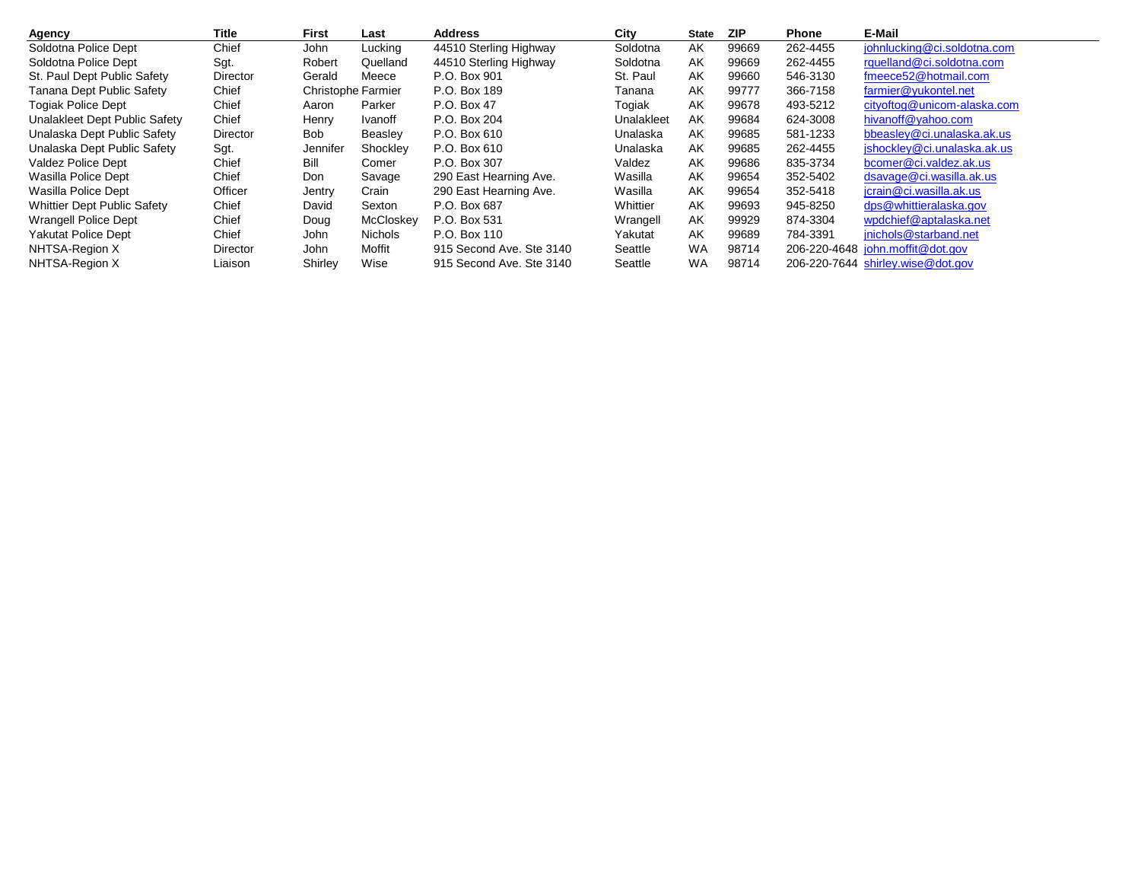| Agency                             | Title    | First              | Last      | <b>Address</b>           | City       | <b>State</b> | <b>ZIP</b> | <b>Phone</b> | E-Mail                            |
|------------------------------------|----------|--------------------|-----------|--------------------------|------------|--------------|------------|--------------|-----------------------------------|
| Soldotna Police Dept               | Chief    | John               | Lucking   | 44510 Sterling Highway   | Soldotna   | AK           | 99669      | 262-4455     | johnlucking@ci.soldotna.com       |
| Soldotna Police Dept               | Sgt.     | Robert             | Quelland  | 44510 Sterling Highway   | Soldotna   | AK           | 99669      | 262-4455     | rquelland@ci.soldotna.com         |
| St. Paul Dept Public Safety        | Director | Gerald             | Meece     | P.O. Box 901             | St. Paul   | AK           | 99660      | 546-3130     | fmeece52@hotmail.com              |
| Tanana Dept Public Safety          | Chief    | Christophe Farmier |           | P.O. Box 189             | Tanana     | AK           | 99777      | 366-7158     | farmier@yukontel.net              |
| <b>Togiak Police Dept</b>          | Chief    | Aaron              | Parker    | P.O. Box 47              | Togiak     | AK           | 99678      | 493-5212     | cityoftog@unicom-alaska.com       |
| Unalakleet Dept Public Safety      | Chief    | Henry              | Ivanoff   | P.O. Box 204             | Unalakleet | AK           | 99684      | 624-3008     | hivanoff@vahoo.com                |
| Unalaska Dept Public Safety        | Director | Bob                | Beasley   | P.O. Box 610             | Unalaska   | AK           | 99685      | 581-1233     | bbeasley@ci.unalaska.ak.us        |
| Unalaska Dept Public Safety        | Sgt.     | Jennifer           | Shockley  | P.O. Box 610             | Unalaska   | AK           | 99685      | 262-4455     | jshockley@ci.unalaska.ak.us       |
| Valdez Police Dept                 | Chief    | Bill               | Comer     | P.O. Box 307             | Valdez     | AK           | 99686      | 835-3734     | bcomer@ci.valdez.ak.us            |
| Wasilla Police Dept                | Chief    | Don                | Savage    | 290 East Hearning Ave.   | Wasilla    | AK           | 99654      | 352-5402     | dsavage@ci.wasilla.ak.us          |
| Wasilla Police Dept                | Officer  | Jentry             | Crain     | 290 East Hearning Ave.   | Wasilla    | AK           | 99654      | 352-5418     | jcrain@ci.wasilla.ak.us           |
| <b>Whittier Dept Public Safety</b> | Chief    | David              | Sexton    | P.O. Box 687             | Whittier   | AK           | 99693      | 945-8250     | dps@whittieralaska.gov            |
| Wrangell Police Dept               | Chief    | Doug               | McCloskey | P.O. Box 531             | Wrangell   | AK           | 99929      | 874-3304     | wpdchief@aptalaska.net            |
| <b>Yakutat Police Dept</b>         | Chief    | John               | Nichols   | P.O. Box 110             | Yakutat    | AK           | 99689      | 784-3391     | jnichols@starband.net             |
| NHTSA-Region X                     | Director | John               | Moffit    | 915 Second Ave. Ste 3140 | Seattle    | <b>WA</b>    | 98714      |              | 206-220-4648 john.moffit@dot.gov  |
| NHTSA-Region X                     | Liaison  | Shirley            | Wise      | 915 Second Ave. Ste 3140 | Seattle    | <b>WA</b>    | 98714      |              | 206-220-7644 shirley.wise@dot.gov |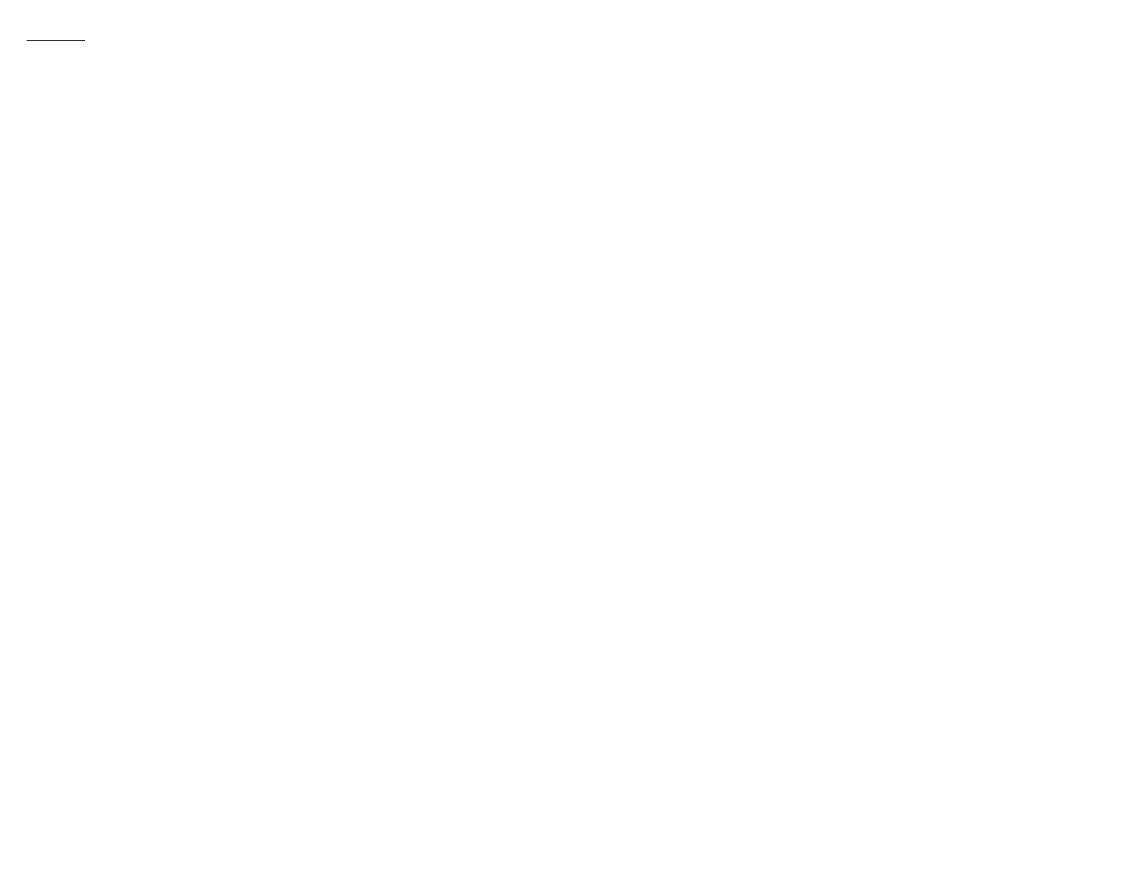